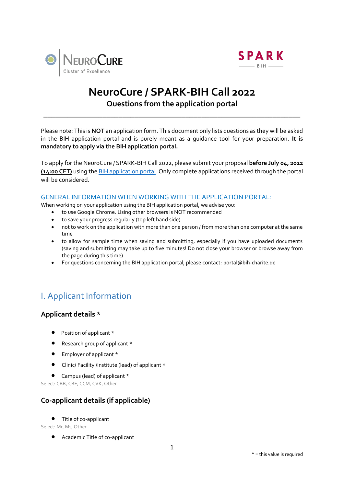



# **NeuroCure / SPARK-BIH Call 2022 Questions from the application portal**

\_\_\_\_\_\_\_\_\_\_\_\_\_\_\_\_\_\_\_\_\_\_\_\_\_\_\_\_\_\_\_\_\_\_\_\_\_\_\_\_\_\_\_\_\_\_\_\_\_\_\_\_\_\_\_\_\_\_\_\_\_\_\_\_\_

Please note: This is **NOT** an application form. This document only lists questions as they will be asked in the BIH application portal and is purely meant as a guidance tool for your preparation. **It is mandatory to apply via the BIH application portal.** 

To apply for the NeuroCure / SPARK-BIH Call 2022, please submit your proposal **before July 04, 2022 (14:00 CET)** using th[e BIH application portal.](https://portal.bihealth.de/portal/SitePages/Home.aspx) Only complete applications received through the portal will be considered.

### GENERAL INFORMATION WHEN WORKING WITH THE APPLICATION PORTAL:

When working on your application using the BIH application portal, we advise you:

- to use Google Chrome. Using other browsers is NOT recommended
- to save your progress regularly (top left hand side)
- not to work on the application with more than one person / from more than one computer at the same time
- to allow for sample time when saving and submitting, especially if you have uploaded documents (saving and submitting may take up to five minutes! Do not close your browser or browse away from the page during this time)
- For questions concerning the BIH application portal, please contact: [portal@bih-charite.de](mailto:portal@bih-charite.de)

# I. Applicant Information

# **Applicant details \***

- Position of applicant \*
- Research group of applicant \*
- Employer of applicant \*
- Clinic/ Facility /Institute (lead) of applicant \*
- Campus (lead) of applicant \*

Select: CBB, CBF, CCM, CVK, Other

# **Co-applicant details (if applicable)**

Title of co-applicant

Select: Mr, Ms, Other

Academic Title of co-applicant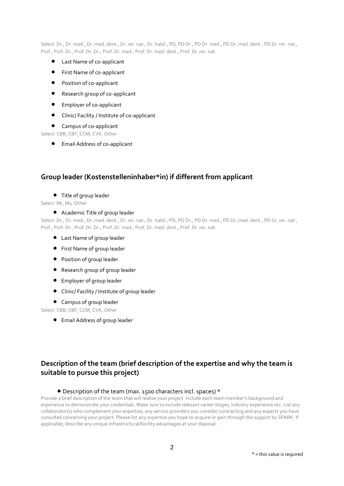Select: Dr., Dr. med., Dr. med. dent., Dr. rer. nat., Dr. habil., PD, PD Dr., PD Dr. med., PD Dr. med. dent., PD Dr. rer. nat., Prof., Prof. Dr., Prof. Dr. Dr., Prof. Dr. med., Prof. Dr. med. dent., Prof. Dr. rer. nat.

- Last Name of co-applicant
- **•** First Name of co-applicant
- **•** Position of co-applicant
- Research group of co-applicant
- Employer of co-applicant
- Clinic/ Facility / Institute of co-applicant
- Campus of co-applicant

Select: CBB, CBF, CCM, CVK, Other

Email Address of co-applicant

### **Group leader (Kostenstelleninhaber\*in) if different from applicant**

#### Title of group leader

Select: Mr, Ms, Other

### Academic Title of group leader

Select: Dr., Dr. med., Dr. med. dent., Dr. rer. nat., Dr. habil., PD, PD Dr., PD Dr. med., PD Dr. med. dent., PD Dr. rer. nat., Prof., Prof. Dr., Prof. Dr. Dr., Prof. Dr. med., Prof. Dr. med. dent., Prof. Dr. rer. nat.

- Last Name of group leader
- First Name of group leader
- Position of group leader
- Research group of group leader
- Employer of group leader
- Clinic/ Facility / Institute of group leader
- Campus of group leader

Select: CBB, CBF, CCM, CVK, Other

Email Address of group leader

# **Description of the team (brief description of the expertise and why the team is suitable to pursue this project)**

#### Description of the team (max. 1500 characters incl. spaces) \*

Provide a brief description of the team that will realize your project. Include each team member's background and experience to demonstrate your credentials. Make sure to include relevant career stages, industry experience etc. List any collaborator(s) who complement your expertise, any service providers you consider contracting and any experts you have consulted concerning your project. Please list any expertise you hope to acquire or gain through the support by SPARK. If applicable, describe any unique infrastructural/facility advantages at your disposal.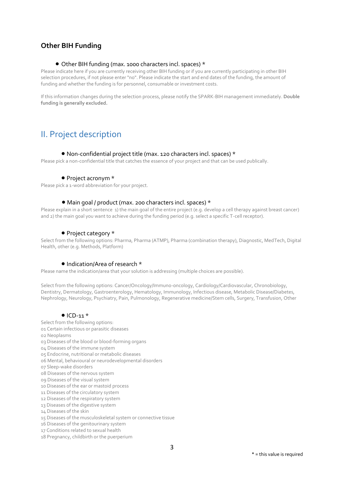# **Other BIH Funding**

### Other BIH funding (max. 1000 characters incl. spaces) \*

Please indicate here if you are currently receiving other BIH funding or if you are currently participating in other BIH selection procedures, if not please enter "no". Please indicate the start and end dates of the funding, the amount of funding and whether the funding is for personnel, consumable or investment costs.

If this information changes during the selection process, please notify the SPARK-BIH management immediately. **Double funding is generally excluded.**

# II. Project description

#### Non-confidential project title (max. 120 characters incl. spaces) \*

Please pick a non-confidential title that catches the essence of your project and that can be used publically.

#### • Project acronym \*

Please pick a 1-word abbreviation for your project.

#### Main goal / product (max. 200 characters incl. spaces) \*

Please explain in a short sentence 1) the main goal of the entire project (e.g. develop a cell therapy against breast cancer) and 2) the main goal you want to achieve during the funding period (e.g. select a specific T-cell receptor).

#### • Project category \*

Select from the following options: Pharma, Pharma (ATMP), Pharma (combination therapy), Diagnostic, MedTech, Digital Health, other (e.g. Methods, Platform)

#### • Indication/Area of research \*

Please name the indication/area that your solution is addressing (multiple choices are possible).

Select from the following options: Cancer/Oncology/Immuno-oncology, Cardiology/Cardiovascular, Chronobiology, Dentistry, Dermatology, Gastroenterology, Hematology, Immunology, Infectious disease, Metabolic Disease/Diabetes, Nephrology, Neurology, Psychiatry, Pain, Pulmonology, Regenerative medicine/Stem cells, Surgery, Transfusion, Other

#### $\bullet$  ICD-11  $\star$

Select from the following options:

- 01 Certain infectious or parasitic diseases
- 02 Neoplasms
- 03 Diseases of the blood or blood-forming organs
- 04 Diseases of the immune system
- 05 Endocrine, nutritional or metabolic diseases
- 06 Mental, behavioural or neurodevelopmental disorders
- 07 Sleep-wake disorders
- 08 Diseases of the nervous system
- 09 Diseases of the visual system
- 10 Diseases of the ear or mastoid process
- 11 Diseases of the circulatory system
- 12 Diseases of the respiratory system
- 13 Diseases of the digestive system
- 14 Diseases of the skin
- 15 Diseases of the musculoskeletal system or connective tissue
- 16 Diseases of the genitourinary system
- 17 Conditions related to sexual health
- 18 Pregnancy, childbirth or the puerperium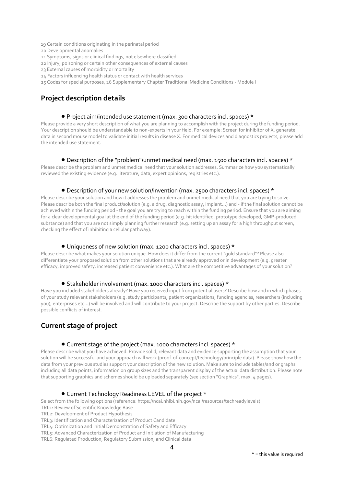- 19 Certain conditions originating in the perinatal period
- 20 Developmental anomalies
- 21 Symptoms, signs or clinical findings, not elsewhere classified
- 22 Injury, poisoning or certain other consequences of external causes
- 23 External causes of morbidity or mortality
- 24 Factors influencing health status or contact with health services
- 25 Codes for special purposes, 26 Supplementary Chapter Traditional Medicine Conditions Module I

## **Project description details**

#### Project aim/intended use statement (max. 300 characters incl. spaces) \*

Please provide a very short description of what you are planning to accomplish with the project during the funding period. Your description should be understandable to non-experts in your field. For example: Screen for inhibitor of X, generate data in second mouse model to validate initial results in disease X. For medical devices and diagnostics projects, please add the intended use statement.

#### Description of the "problem"/unmet medical need (max. 1500 characters incl. spaces) \*

Please describe the problem and unmet medical need that your solution addresses. Summarize how you systematically reviewed the existing evidence (e.g. literature, data, expert opinions, registries etc.).

#### Description of your new solution/invention (max. 2500 characters incl. spaces) \*

Please describe your solution and how it addresses the problem and unmet medical need that you are trying to solve. Please describe both the final product/solution (e.g. a drug, diagnostic assay, implant...) and - if the final solution cannot be achieved within the funding period - the goal you are trying to reach within the funding period. Ensure that you are aiming for a clear developmental goal at the end of the funding period (e.g. hit identified, prototype developed, GMP-produced substance) and that you are not simply planning further research (e.g. setting up an assay for a high throughput screen, checking the effect of inhibiting a cellular pathway).

#### Uniqueness of new solution (max. 1200 characters incl. spaces) \*

Please describe what makes your solution unique. How does it differ from the current "gold standard"? Please also differentiate your proposed solution from other solutions that are already approved or in development (e.g. greater efficacy, improved safety, increased patient convenience etc.). What are the competitive advantages of your solution?

#### Stakeholder involvement (max. 1000 characters incl. spaces) \*

Have you included stakeholders already? Have you received input from potential users? Describe how and in which phases of your study relevant stakeholders (e.g. study participants, patient organizations, funding agencies, researchers (including you), enterprises etc...) will be involved and will contribute to your project. Describe the support by other parties. Describe possible conflicts of interest.

## **Current stage of project**

### Current stage of the project (max. 1000 characters incl. spaces) \*

Please describe what you have achieved. Provide solid, relevant data and evidence supporting the assumption that your solution will be successful and your approach will work (proof-of-concept/technology/principle data). Please show how the data from your previous studies support your description of the new solution. Make sure to include tables/and or graphs including all data points, information on group sizes and the transparent display of the actual data distribution. Please note that supporting graphics and schemes should be uploaded separately (see section "Graphics", max. 4 pages).

#### **Current Technology Readiness LEVEL of the project \***

Select from the following options (reference: https://ncai.nhlbi.nih.gov/ncai/resources/techreadylevels):

- TRL1: Review of Scientific Knowledge Base
- TRL2: Development of Product Hypothesis

TRL3: Identification and Characterization of Product Candidate

TRL4: Optimization and Initial Demonstration of Safety and Efficacy

TRL5: Advanced Characterization of Product and Initiation of Manufacturing

TRL6: Regulated Production, Regulatory Submission, and Clinical data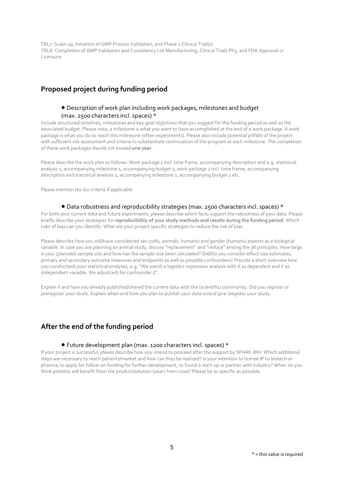TRL7: Scale-up, Initiation of GMP Process Validation, and Phase 2 Clinical Trial(s) TRL8: Completion of GMP Validation and Consistency Lot Manufacturing, Clinical Trials Ph3, and FDA Approval or Licensure

## **Proposed project during funding period**

### Description of work plan including work packages, milestones and budget (max. 2500 characters incl. spaces) \*

Include structured timelines, milestones and key goal objectives that you suggest for the funding period as well as the associated budget. Please note, a milestone is what you want to have accomplished at the end of a work package. A work package is what you do to reach this milestone (often experiments). Please also include potential pitfalls of the project with sufficient risk assessment and criteria to substantiate continuation of the program at each milestone. The completion of these work packages should not exceed **one year**.

Please describe the work plan as follows: Work package 1 incl. time frame, accompanying description and e.g. statistical analysis 1, accompanying milestone 1, accompanying budget 1, work package 2 incl. time frame, accompanying description and statistical analysis 2, accompanying milestone 2, accompanying budget 2 etc.

Please mention No-Go criteria if applicable

### Data robustness and reproducibility strategies (max. 2500 characters incl. spaces) \*

For both your current data and future experiments, please describe which facts support the robustness of your data. Please briefly describe your strategies for **reproducibility of your study methods and results during the funding period.** Which risks of bias can you identify. What are your project specific strategies to reduce the risk of bias.

Please describe how you will/have consider/ed sex (cells, animals, humans) and gender (humans) aspects as a biological variable. In case you are planning an animal study, discuss "replacement" and "reduce" among the 3R principles. How large is your (planned) sample size and how has the sample size been calculated? Did/Do you consider effect size estimates, primary and secondary outcome measures and endpoints as well as possible confounders? Provide a short overview how you conduct(ed) your statistical analyses, e.g. "We use(d) a logistics regression analysis with X as dependent and Y as independent variable. We adjust(ed) for confounder Z".

Explain if and how you already published/shared the current data with the (scientific) community. Did you register or preregister your study. Explain when and how you plan to publish your data or/and (pre-)register your study.

## **After the end of the funding period**

#### Future development plan (max. 1200 characters incl. spaces) \*

If your project is successful, please describe how you intend to proceed after the support by SPARK-BIH. Which additional steps are necessary to reach patients/market and how can they be realized? Is your intention to license IP to biotech or pharma, to apply for follow-on funding for further development, to found a start-up or partner with industry? When do you think patients will benefit from the product/solution (years from now)? Please be as specific as possible.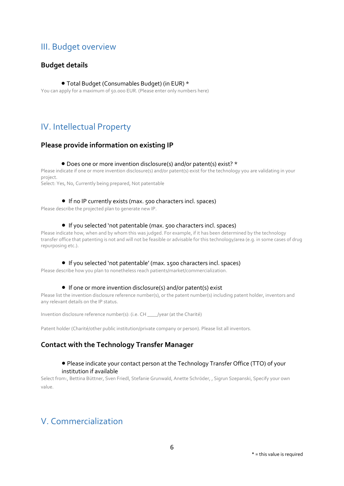# III. Budget overview

## **Budget details**

### Total Budget (Consumables Budget) (in EUR) \*

You can apply for a maximum of 50.000 EUR. (Please enter only numbers here)

# IV. Intellectual Property

## **Please provide information on existing IP**

### Does one or more invention disclosure(s) and/or patent(s) exist? \*

Please indicate if one or more invention disclosure(s) and/or patent(s) exist for the technology you are validating in your project.

Select: Yes, No, Currently being prepared, Not patentable

### If no IP currently exists (max. 500 characters incl. spaces)

Please describe the projected plan to generate new IP.

### If you selected 'not patentable (max. 500 characters incl. spaces)

Please indicate how, when and by whom this was judged. For example, if it has been determined by the technology transfer office that patenting is not and will not be feasible or advisable for this technology/area (e.g. in some cases of drug repurposing etc.).

### If you selected 'not patentable' (max. 1500 characters incl. spaces)

Please describe how you plan to nonetheless reach patients/market/commercialization.

### ● If one or more invention disclosure(s) and/or patent(s) exist

Please list the invention disclosure reference number(s), or the patent number(s) including patent holder, inventors and any relevant details on the IP status.

Invention disclosure reference number(s): (i.e. CH \_\_\_\_/year (at the Charité)

Patent holder (Charité/other public institution/private company or person). Please list all inventors.

# **Contact with the Technology Transfer Manager**

### Please indicate your contact person at the Technology Transfer Office (TTO) of your institution if available

Select from:, Bettina Büttner, Sven Friedl, Stefanie Grunwald, Anette Schröder, , Sigrun Szepanski, Specify your own value.

# V. Commercialization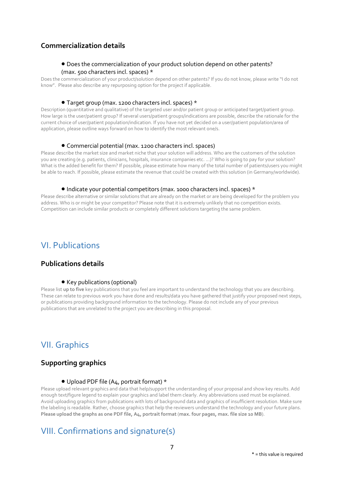## **Commercialization details**

### Does the commercialization of your product solution depend on other patents? (max. 500 characters incl. spaces) \*

Does the commercialization of your product/solution depend on other patents? If you do not know, please write "I do not know". Please also describe any repurposing option for the project if applicable.

#### Target group (max. 1200 characters incl. spaces) \*

Description (quantitative and qualitative) of the targeted user and/or patient group or anticipated target/patient group. How large is the user/patient group? If several users/patient groups/indications are possible, describe the rationale for the current choice of user/patient population/indication. If you have not yet decided on a user/patient population/area of application, please outline ways forward on how to identify the most relevant one/s.

### Commercial potential (max. 1200 characters incl. spaces)

Please describe the market size and market niche that your solution will address. Who are the customers of the solution you are creating (e.g. patients, clinicians, hospitals, insurance companies etc. ...)? Who is going to pay for your solution? What is the added benefit for them? If possible, please estimate how many of the total number of patients/users you might be able to reach. If possible, please estimate the revenue that could be created with this solution (in Germany/worldwide).

### Indicate your potential competitors (max. 1000 characters incl. spaces) \*

Please describe alternative or similar solutions that are already on the market or are being developed for the problem you address. Who is or might be your competitor? Please note that it is extremely unlikely that no competition exists. Competition can include similar products or completely different solutions targeting the same problem.

# VI. Publications

## **Publications details**

#### • Key publications (optional)

Please list **up to five** key publications that you feel are important to understand the technology that you are describing. These can relate to previous work you have done and results/data you have gathered that justify your proposed next steps, or publications providing background information to the technology. Please do not include any of your previous publications that are unrelated to the project you are describing in this proposal.

# VII. Graphics

## **Supporting graphics**

#### Upload PDF file (A4, portrait format) \*

Please upload relevant graphics and data that help/support the understanding of your proposal and show key results. Add enough text/figure legend to explain your graphics and label them clearly. Any abbreviations used must be explained. Avoid uploading graphics from publications with lots of background data and graphics of insufficient resolution. Make sure the labeling is readable. Rather, choose graphics that help the reviewers understand the technology and your future plans. **Please upload the graphs as one PDF file, A4, portrait format** (**max. four pages, max. file size 10 MB**).

# VIII. Confirmations and signature(s)